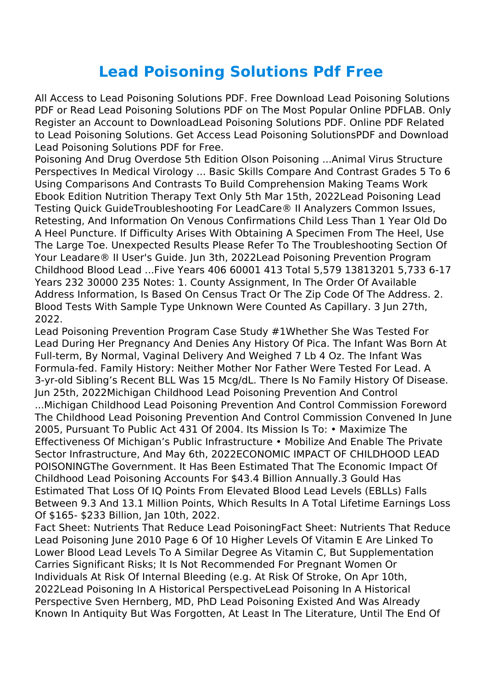## **Lead Poisoning Solutions Pdf Free**

All Access to Lead Poisoning Solutions PDF. Free Download Lead Poisoning Solutions PDF or Read Lead Poisoning Solutions PDF on The Most Popular Online PDFLAB. Only Register an Account to DownloadLead Poisoning Solutions PDF. Online PDF Related to Lead Poisoning Solutions. Get Access Lead Poisoning SolutionsPDF and Download Lead Poisoning Solutions PDF for Free.

Poisoning And Drug Overdose 5th Edition Olson Poisoning ...Animal Virus Structure Perspectives In Medical Virology ... Basic Skills Compare And Contrast Grades 5 To 6 Using Comparisons And Contrasts To Build Comprehension Making Teams Work Ebook Edition Nutrition Therapy Text Only 5th Mar 15th, 2022Lead Poisoning Lead Testing Quick GuideTroubleshooting For LeadCare® II Analyzers Common Issues, Retesting, And Information On Venous Confirmations Child Less Than 1 Year Old Do A Heel Puncture. If Difficulty Arises With Obtaining A Specimen From The Heel, Use The Large Toe. Unexpected Results Please Refer To The Troubleshooting Section Of Your Leadare® II User's Guide. Jun 3th, 2022Lead Poisoning Prevention Program Childhood Blood Lead ...Five Years 406 60001 413 Total 5,579 13813201 5,733 6-17 Years 232 30000 235 Notes: 1. County Assignment, In The Order Of Available Address Information, Is Based On Census Tract Or The Zip Code Of The Address. 2. Blood Tests With Sample Type Unknown Were Counted As Capillary. 3 Jun 27th, 2022.

Lead Poisoning Prevention Program Case Study #1Whether She Was Tested For Lead During Her Pregnancy And Denies Any History Of Pica. The Infant Was Born At Full-term, By Normal, Vaginal Delivery And Weighed 7 Lb 4 Oz. The Infant Was Formula-fed. Family History: Neither Mother Nor Father Were Tested For Lead. A 3-yr-old Sibling's Recent BLL Was 15 Mcg/dL. There Is No Family History Of Disease. Jun 25th, 2022Michigan Childhood Lead Poisoning Prevention And Control ...Michigan Childhood Lead Poisoning Prevention And Control Commission Foreword The Childhood Lead Poisoning Prevention And Control Commission Convened In June 2005, Pursuant To Public Act 431 Of 2004. Its Mission Is To: • Maximize The Effectiveness Of Michigan's Public Infrastructure • Mobilize And Enable The Private Sector Infrastructure, And May 6th, 2022ECONOMIC IMPACT OF CHILDHOOD LEAD POISONINGThe Government. It Has Been Estimated That The Economic Impact Of Childhood Lead Poisoning Accounts For \$43.4 Billion Annually.3 Gould Has Estimated That Loss Of IQ Points From Elevated Blood Lead Levels (EBLLs) Falls Between 9.3 And 13.1 Million Points, Which Results In A Total Lifetime Earnings Loss Of \$165- \$233 Billion, Jan 10th, 2022.

Fact Sheet: Nutrients That Reduce Lead PoisoningFact Sheet: Nutrients That Reduce Lead Poisoning June 2010 Page 6 Of 10 Higher Levels Of Vitamin E Are Linked To Lower Blood Lead Levels To A Similar Degree As Vitamin C, But Supplementation Carries Significant Risks; It Is Not Recommended For Pregnant Women Or Individuals At Risk Of Internal Bleeding (e.g. At Risk Of Stroke, On Apr 10th, 2022Lead Poisoning In A Historical PerspectiveLead Poisoning In A Historical Perspective Sven Hernberg, MD, PhD Lead Poisoning Existed And Was Already Known In Antiquity But Was Forgotten, At Least In The Literature, Until The End Of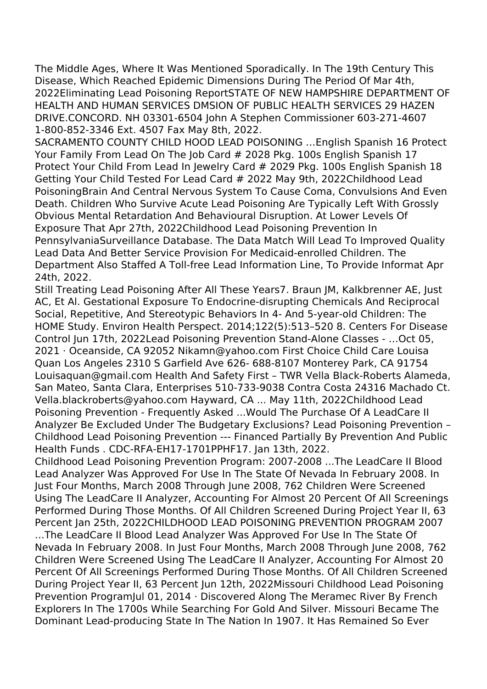The Middle Ages, Where It Was Mentioned Sporadically. In The 19th Century This Disease, Which Reached Epidemic Dimensions During The Period Of Mar 4th, 2022Eliminating Lead Poisoning ReportSTATE OF NEW HAMPSHIRE DEPARTMENT OF HEALTH AND HUMAN SERVICES DMSION OF PUBLIC HEALTH SERVICES 29 HAZEN DRIVE.CONCORD. NH 03301-6504 John A Stephen Commissioner 603-271-4607 1-800-852-3346 Ext. 4507 Fax May 8th, 2022.

SACRAMENTO COUNTY CHILD HOOD LEAD POISONING …English Spanish 16 Protect Your Family From Lead On The Job Card # 2028 Pkg. 100s English Spanish 17 Protect Your Child From Lead In Jewelry Card # 2029 Pkg. 100s English Spanish 18 Getting Your Child Tested For Lead Card # 2022 May 9th, 2022Childhood Lead PoisoningBrain And Central Nervous System To Cause Coma, Convulsions And Even Death. Children Who Survive Acute Lead Poisoning Are Typically Left With Grossly Obvious Mental Retardation And Behavioural Disruption. At Lower Levels Of Exposure That Apr 27th, 2022Childhood Lead Poisoning Prevention In PennsylvaniaSurveillance Database. The Data Match Will Lead To Improved Quality Lead Data And Better Service Provision For Medicaid-enrolled Children. The Department Also Staffed A Toll-free Lead Information Line, To Provide Informat Apr 24th, 2022.

Still Treating Lead Poisoning After All These Years7. Braun JM, Kalkbrenner AE, Just AC, Et Al. Gestational Exposure To Endocrine-disrupting Chemicals And Reciprocal Social, Repetitive, And Stereotypic Behaviors In 4- And 5-year-old Children: The HOME Study. Environ Health Perspect. 2014;122(5):513–520 8. Centers For Disease Control Jun 17th, 2022Lead Poisoning Prevention Stand-Alone Classes - …Oct 05, 2021 · Oceanside, CA 92052 Nikamn@yahoo.com First Choice Child Care Louisa Quan Los Angeles 2310 S Garfield Ave 626- 688-8107 Monterey Park, CA 91754 Louisaquan@gmail.com Health And Safety First – TWR Vella Black-Roberts Alameda, San Mateo, Santa Clara, Enterprises 510-733-9038 Contra Costa 24316 Machado Ct. Vella.blackroberts@yahoo.com Hayward, CA ... May 11th, 2022Childhood Lead Poisoning Prevention - Frequently Asked ...Would The Purchase Of A LeadCare II Analyzer Be Excluded Under The Budgetary Exclusions? Lead Poisoning Prevention – Childhood Lead Poisoning Prevention --- Financed Partially By Prevention And Public Health Funds . CDC-RFA-EH17-1701PPHF17. Jan 13th, 2022.

Childhood Lead Poisoning Prevention Program: 2007-2008 ...The LeadCare II Blood Lead Analyzer Was Approved For Use In The State Of Nevada In February 2008. In Just Four Months, March 2008 Through June 2008, 762 Children Were Screened Using The LeadCare II Analyzer, Accounting For Almost 20 Percent Of All Screenings Performed During Those Months. Of All Children Screened During Project Year II, 63 Percent Jan 25th, 2022CHILDHOOD LEAD POISONING PREVENTION PROGRAM 2007 …The LeadCare II Blood Lead Analyzer Was Approved For Use In The State Of Nevada In February 2008. In Just Four Months, March 2008 Through June 2008, 762 Children Were Screened Using The LeadCare II Analyzer, Accounting For Almost 20 Percent Of All Screenings Performed During Those Months. Of All Children Screened During Project Year II, 63 Percent Jun 12th, 2022Missouri Childhood Lead Poisoning Prevention ProgramJul 01, 2014 · Discovered Along The Meramec River By French Explorers In The 1700s While Searching For Gold And Silver. Missouri Became The Dominant Lead-producing State In The Nation In 1907. It Has Remained So Ever